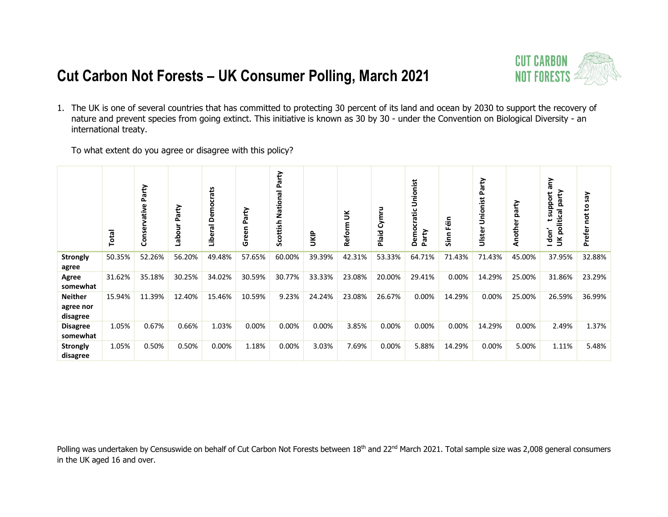

1. The UK is one of several countries that has committed to protecting 30 percent of its land and ocean by 2030 to support the recovery of nature and prevent species from going extinct. This initiative is known as 30 by 30 - under the Convention on Biological Diversity - an international treaty.

To what extent do you agree or disagree with this policy?

|                                         | Total  | Party<br>ative<br>Conse | Party<br>Labou | Liberal Democrats | arty<br>Δ<br>ه<br>ق<br>ق | Party<br>National<br>Scottish | <b>S</b> | š<br>Reform | Cymru<br>Plaid | Unionist<br>cratic<br>۰<br>Party<br>Dem | Eéin<br>Sinn | arty<br>ػ<br>onist<br>Š<br>ste<br>Б | party<br>Another | Vue<br>party<br>support<br>ក្ល<br>$\overline{\mathsf{g}}$<br>l don'<br>$\leq$ | Ves<br>₽,<br>ă<br>Prefer |
|-----------------------------------------|--------|-------------------------|----------------|-------------------|--------------------------|-------------------------------|----------|-------------|----------------|-----------------------------------------|--------------|-------------------------------------|------------------|-------------------------------------------------------------------------------|--------------------------|
| <b>Strongly</b><br>agree                | 50.35% | 52.26%                  | 56.20%         | 49.48%            | 57.65%                   | 60.00%                        | 39.39%   | 42.31%      | 53.33%         | 64.71%                                  | 71.43%       | 71.43%                              | 45.00%           | 37.95%                                                                        | 32.88%                   |
| Agree<br>somewhat                       | 31.62% | 35.18%                  | 30.25%         | 34.02%            | 30.59%                   | 30.77%                        | 33.33%   | 23.08%      | 20.00%         | 29.41%                                  | 0.00%        | 14.29%                              | 25.00%           | 31.86%                                                                        | 23.29%                   |
| <b>Neither</b><br>agree nor<br>disagree | 15.94% | 11.39%                  | 12.40%         | 15.46%            | 10.59%                   | 9.23%                         | 24.24%   | 23.08%      | 26.67%         | 0.00%                                   | 14.29%       | 0.00%                               | 25.00%           | 26.59%                                                                        | 36.99%                   |
| <b>Disagree</b><br>somewhat             | 1.05%  | 0.67%                   | 0.66%          | 1.03%             | 0.00%                    | 0.00%                         | 0.00%    | 3.85%       | 0.00%          | 0.00%                                   | 0.00%        | 14.29%                              | 0.00%            | 2.49%                                                                         | 1.37%                    |
| <b>Strongly</b><br>disagree             | 1.05%  | 0.50%                   | 0.50%          | 0.00%             | 1.18%                    | 0.00%                         | 3.03%    | 7.69%       | 0.00%          | 5.88%                                   | 14.29%       | 0.00%                               | 5.00%            | 1.11%                                                                         | 5.48%                    |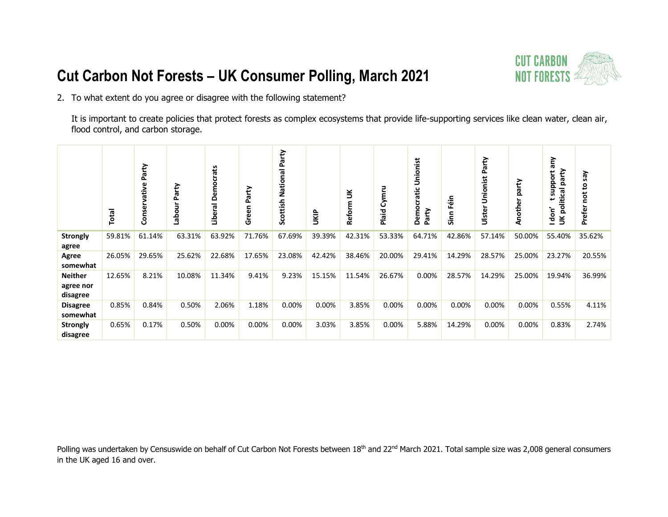

2. To what extent do you agree or disagree with the following statement?

It is important to create policies that protect forests as complex ecosystems that provide life-supporting services like clean water, clean air, flood control, and carbon storage.

|                                         | Total  | Party<br>vative<br>Conser | Party<br><b>Labour</b> | crats<br>Democ<br>ក្ខា<br>تھ<br>ڪ | Party<br>Green | Party<br><b>Scottish National</b> | UKIP   | $\leq$<br>Reform | Plaid Cymru | Unionist<br>Democratic<br>Party | éίn<br>Lī.<br>Sinn | Party<br>Unionist<br>Ulster | party<br>Another | λue<br>party<br>support<br>UK political<br>don' | λes<br>2<br>Prefer |
|-----------------------------------------|--------|---------------------------|------------------------|-----------------------------------|----------------|-----------------------------------|--------|------------------|-------------|---------------------------------|--------------------|-----------------------------|------------------|-------------------------------------------------|--------------------|
| <b>Strongly</b><br>agree                | 59.81% | 61.14%                    | 63.31%                 | 63.92%                            | 71.76%         | 67.69%                            | 39.39% | 42.31%           | 53.33%      | 64.71%                          | 42.86%             | 57.14%                      | 50.00%           | 55.40%                                          | 35.62%             |
| Agree<br>somewhat                       | 26.05% | 29.65%                    | 25.62%                 | 22.68%                            | 17.65%         | 23.08%                            | 42.42% | 38.46%           | 20.00%      | 29.41%                          | 14.29%             | 28.57%                      | 25.00%           | 23.27%                                          | 20.55%             |
| <b>Neither</b><br>agree nor<br>disagree | 12.65% | 8.21%                     | 10.08%                 | 11.34%                            | 9.41%          | 9.23%                             | 15.15% | 11.54%           | 26.67%      | 0.00%                           | 28.57%             | 14.29%                      | 25.00%           | 19.94%                                          | 36.99%             |
| <b>Disagree</b><br>somewhat             | 0.85%  | 0.84%                     | 0.50%                  | 2.06%                             | 1.18%          | 0.00%                             | 0.00%  | 3.85%            | 0.00%       | 0.00%                           | 0.00%              | 0.00%                       | 0.00%            | 0.55%                                           | 4.11%              |
| <b>Strongly</b><br>disagree             | 0.65%  | 0.17%                     | 0.50%                  | 0.00%                             | 0.00%          | 0.00%                             | 3.03%  | 3.85%            | 0.00%       | 5.88%                           | 14.29%             | 0.00%                       | 0.00%            | 0.83%                                           | 2.74%              |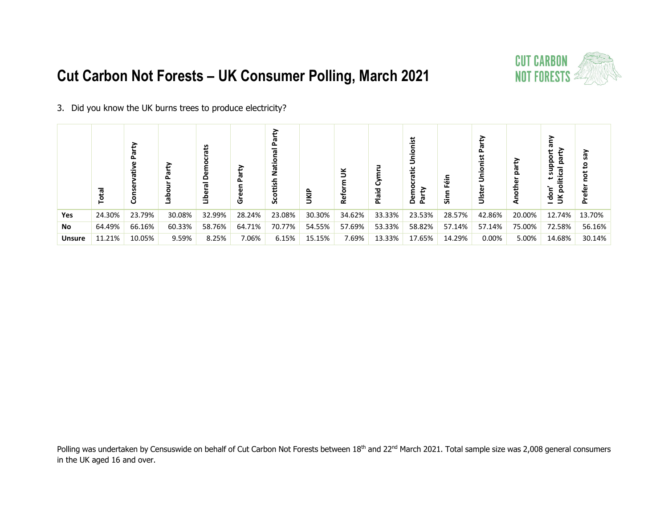

#### 3. Did you know the UK burns trees to produce electricity?

|               | Total  | Party<br>š<br>Conse | 응      | å<br>انا | Party<br>ē.<br>င် | ့<br>၁၀ | <b>JKIP</b> | $\leq$<br>Ref | Ō<br>Plaid | <u>¤</u><br>高<br>₽<br>Dem<br>ត្ត | န္ဖ<br>န္တ | <u> ¤</u><br>รี<br>⊃ี | Ě      | ត<br>party<br>۰<br>௨<br>$\Omega$<br>political<br>S<br>don'<br>$\breve{\mathbf{5}}$ | ζã<br>Զ<br>နို့<br>Δ. |
|---------------|--------|---------------------|--------|----------|-------------------|---------|-------------|---------------|------------|----------------------------------|------------|-----------------------|--------|------------------------------------------------------------------------------------|-----------------------|
| Yes           | 24.30% | 23.79%              | 30.08% | 32.99%   | 28.24%            | 23.08%  | 30.30%      | 34.62%        | 33.33%     | 23.53%                           | 28.57%     | 42.86%                | 20.00% | 12.74%                                                                             | 13.70%                |
| <b>No</b>     | 64.49% | 66.16%              | 60.33% | 58.76%   | 64.71%            | 70.77%  | 54.55%      | 57.69%        | 53.33%     | 58.82%                           | 57.14%     | 57.14%                | 75.00% | 72.58%                                                                             | 56.16%                |
| <b>Unsure</b> | 11.21% | 10.05%              | 9.59%  | 8.25%    | 7.06%             | 6.15%   | 15.15%      | 7.69%         | 13.33%     | 17.65%                           | 14.29%     | 0.00%                 | 5.00%  | 14.68%                                                                             | 30.14%                |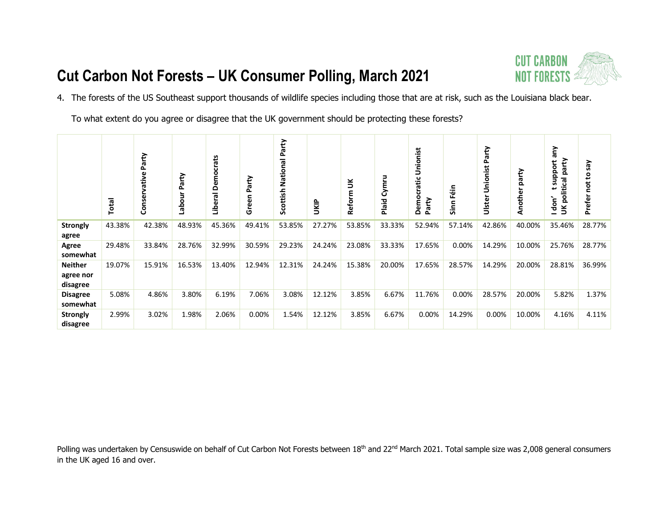

4. The forests of the US Southeast support thousands of wildlife species including those that are at risk, such as the Louisiana black bear.

To what extent do you agree or disagree that the UK government should be protecting these forests?

|                                         | Total  | Party<br>vative<br>Conser | Party<br>3<br>labo | Democrats<br>Liberal | Party<br>Green | Party<br>National<br>Scottish | UKIP   | š<br>Reform | Cymru<br>Plaid | Unionist<br>cratic<br>۰<br>Party<br>Dem | Féin<br>Sinn | Unionist Party<br>Ulster | party<br>Another | ₹<br><b>r</b><br>party<br>support<br>political<br>I don'<br>$\breve{\mathbf{5}}$ | λes<br>ទិ<br>ă<br>Prefer |
|-----------------------------------------|--------|---------------------------|--------------------|----------------------|----------------|-------------------------------|--------|-------------|----------------|-----------------------------------------|--------------|--------------------------|------------------|----------------------------------------------------------------------------------|--------------------------|
| <b>Strongly</b><br>agree                | 43.38% | 42.38%                    | 48.93%             | 45.36%               | 49.41%         | 53.85%                        | 27.27% | 53.85%      | 33.33%         | 52.94%                                  | 57.14%       | 42.86%                   | 40.00%           | 35.46%                                                                           | 28.77%                   |
| Agree<br>somewhat                       | 29.48% | 33.84%                    | 28.76%             | 32.99%               | 30.59%         | 29.23%                        | 24.24% | 23.08%      | 33.33%         | 17.65%                                  | 0.00%        | 14.29%                   | 10.00%           | 25.76%                                                                           | 28.77%                   |
| <b>Neither</b><br>agree nor<br>disagree | 19.07% | 15.91%                    | 16.53%             | 13.40%               | 12.94%         | 12.31%                        | 24.24% | 15.38%      | 20.00%         | 17.65%                                  | 28.57%       | 14.29%                   | 20.00%           | 28.81%                                                                           | 36.99%                   |
| <b>Disagree</b><br>somewhat             | 5.08%  | 4.86%                     | 3.80%              | 6.19%                | 7.06%          | 3.08%                         | 12.12% | 3.85%       | 6.67%          | 11.76%                                  | 0.00%        | 28.57%                   | 20.00%           | 5.82%                                                                            | 1.37%                    |
| <b>Strongly</b><br>disagree             | 2.99%  | 3.02%                     | 1.98%              | 2.06%                | 0.00%          | 1.54%                         | 12.12% | 3.85%       | 6.67%          | 0.00%                                   | 14.29%       | 0.00%                    | 10.00%           | 4.16%                                                                            | 4.11%                    |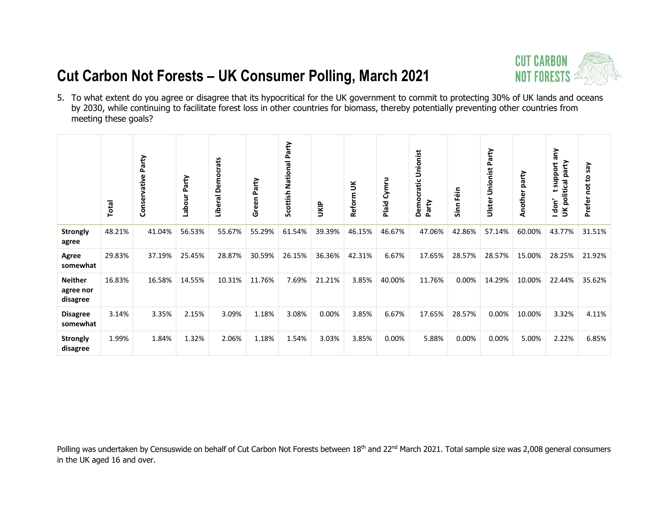

5. To what extent do you agree or disagree that its hypocritical for the UK government to commit to protecting 30% of UK lands and oceans by 2030, while continuing to facilitate forest loss in other countries for biomass, thereby potentially preventing other countries from meeting these goals?

|                                         | Total  | Party<br>Conservative | Party<br>Labour | Liberal Democrats | Party<br>Green | National Party<br>Scottish | <b>UKIP</b> | Reform UK | Plaid Cymru | Unionist<br>Democratic<br>Party | Sinn Féin | Unionist Party<br>Ulster | party<br>Another | λυ<br>party<br>support<br>UK political<br>Idon' | Prefer not to say |
|-----------------------------------------|--------|-----------------------|-----------------|-------------------|----------------|----------------------------|-------------|-----------|-------------|---------------------------------|-----------|--------------------------|------------------|-------------------------------------------------|-------------------|
| <b>Strongly</b><br>agree                | 48.21% | 41.04%                | 56.53%          | 55.67%            | 55.29%         | 61.54%                     | 39.39%      | 46.15%    | 46.67%      | 47.06%                          | 42.86%    | 57.14%                   | 60.00%           | 43.77%                                          | 31.51%            |
| Agree<br>somewhat                       | 29.83% | 37.19%                | 25.45%          | 28.87%            | 30.59%         | 26.15%                     | 36.36%      | 42.31%    | 6.67%       | 17.65%                          | 28.57%    | 28.57%                   | 15.00%           | 28.25%                                          | 21.92%            |
| <b>Neither</b><br>agree nor<br>disagree | 16.83% | 16.58%                | 14.55%          | 10.31%            | 11.76%         | 7.69%                      | 21.21%      | 3.85%     | 40.00%      | 11.76%                          | 0.00%     | 14.29%                   | 10.00%           | 22.44%                                          | 35.62%            |
| <b>Disagree</b><br>somewhat             | 3.14%  | 3.35%                 | 2.15%           | 3.09%             | 1.18%          | 3.08%                      | 0.00%       | 3.85%     | 6.67%       | 17.65%                          | 28.57%    | 0.00%                    | 10.00%           | 3.32%                                           | 4.11%             |
| <b>Strongly</b><br>disagree             | 1.99%  | 1.84%                 | 1.32%           | 2.06%             | 1.18%          | 1.54%                      | 3.03%       | 3.85%     | 0.00%       | 5.88%                           | 0.00%     | 0.00%                    | 5.00%            | 2.22%                                           | 6.85%             |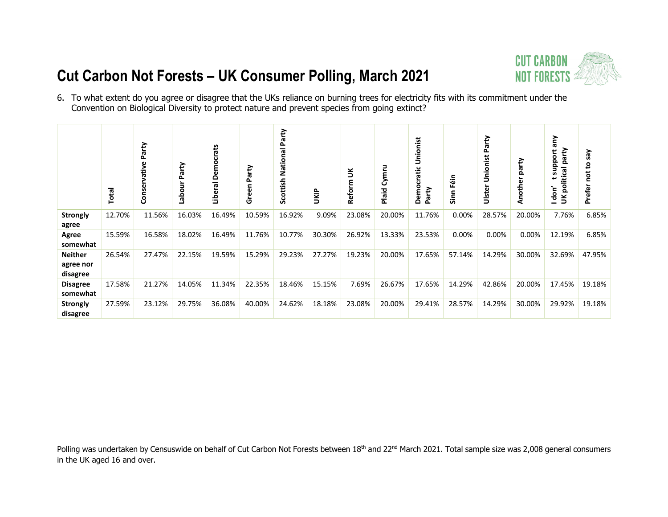# **CUT CARBON<br>NOT FORESTS 2**

# **Cut Carbon Not Forests – UK Consumer Polling, March 2021**



|                                         | Total  | Party<br>vative<br>Conser | Party<br>킁<br>؋<br>و | crats<br>Demod<br>Liberal | Party<br>Green | Party<br><b>Scottish National</b> | UKIP   | $\leq$<br>Reform | Cymru<br>Plaid | onist<br>Š<br>$\mathbf{C}$<br>crati<br>Demo<br>Party | ٩ë<br>LĒ.<br>Sinn | Unionist Party<br>Ulster | party<br>Another | λu<br>party<br>support<br>UK political<br>l don' | Say<br>$\mathbf{S}$<br>č<br>Prefer |
|-----------------------------------------|--------|---------------------------|----------------------|---------------------------|----------------|-----------------------------------|--------|------------------|----------------|------------------------------------------------------|-------------------|--------------------------|------------------|--------------------------------------------------|------------------------------------|
| <b>Strongly</b><br>agree                | 12.70% | 11.56%                    | 16.03%               | 16.49%                    | 10.59%         | 16.92%                            | 9.09%  | 23.08%           | 20.00%         | 11.76%                                               | 0.00%             | 28.57%                   | 20.00%           | 7.76%                                            | 6.85%                              |
| Agree<br>somewhat                       | 15.59% | 16.58%                    | 18.02%               | 16.49%                    | 11.76%         | 10.77%                            | 30.30% | 26.92%           | 13.33%         | 23.53%                                               | 0.00%             | 0.00%                    | 0.00%            | 12.19%                                           | 6.85%                              |
| <b>Neither</b><br>agree nor<br>disagree | 26.54% | 27.47%                    | 22.15%               | 19.59%                    | 15.29%         | 29.23%                            | 27.27% | 19.23%           | 20.00%         | 17.65%                                               | 57.14%            | 14.29%                   | 30.00%           | 32.69%                                           | 47.95%                             |
| <b>Disagree</b><br>somewhat             | 17.58% | 21.27%                    | 14.05%               | 11.34%                    | 22.35%         | 18.46%                            | 15.15% | 7.69%            | 26.67%         | 17.65%                                               | 14.29%            | 42.86%                   | 20.00%           | 17.45%                                           | 19.18%                             |
| <b>Strongly</b><br>disagree             | 27.59% | 23.12%                    | 29.75%               | 36.08%                    | 40.00%         | 24.62%                            | 18.18% | 23.08%           | 20.00%         | 29.41%                                               | 28.57%            | 14.29%                   | 30.00%           | 29.92%                                           | 19.18%                             |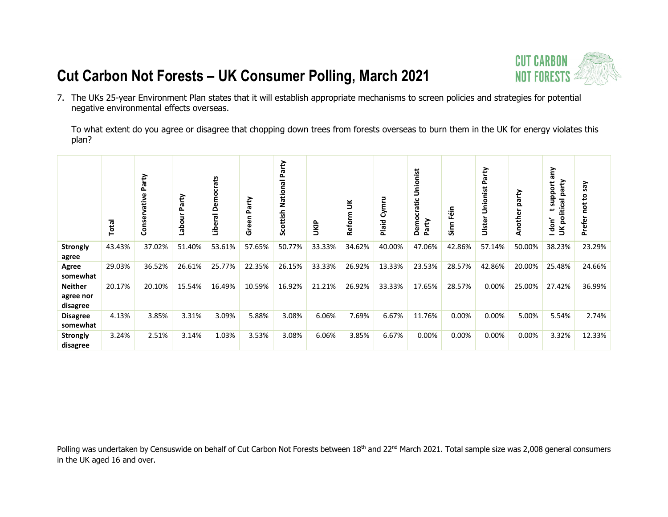

7. The UKs 25-year Environment Plan states that it will establish appropriate mechanisms to screen policies and strategies for potential negative environmental effects overseas.

To what extent do you agree or disagree that chopping down trees from forests overseas to burn them in the UK for energy violates this plan?

|                                         | Total  | arty<br>ൎ<br>ative<br>Conserv | Party<br>Jino<br><u>۾</u><br>و | crats<br>Demo<br>Liberal | Party<br>Green | Scottish National Party | UKIP   | š<br>Reform | Cymru<br>Plaid | Unionist<br>Democratic<br>Party | Féin<br>Sin | Party<br>Unionist<br>Ulster | party<br>Anothe | Vue<br>UK political party<br>support<br>سه<br>don' | λes<br>۰<br>ъ<br>Prefer |
|-----------------------------------------|--------|-------------------------------|--------------------------------|--------------------------|----------------|-------------------------|--------|-------------|----------------|---------------------------------|-------------|-----------------------------|-----------------|----------------------------------------------------|-------------------------|
| <b>Strongly</b><br>agree                | 43.43% | 37.02%                        | 51.40%                         | 53.61%                   | 57.65%         | 50.77%                  | 33.33% | 34.62%      | 40.00%         | 47.06%                          | 42.86%      | 57.14%                      | 50.00%          | 38.23%                                             | 23.29%                  |
| Agree<br>somewhat                       | 29.03% | 36.52%                        | 26.61%                         | 25.77%                   | 22.35%         | 26.15%                  | 33.33% | 26.92%      | 13.33%         | 23.53%                          | 28.57%      | 42.86%                      | 20.00%          | 25.48%                                             | 24.66%                  |
| <b>Neither</b><br>agree nor<br>disagree | 20.17% | 20.10%                        | 15.54%                         | 16.49%                   | 10.59%         | 16.92%                  | 21.21% | 26.92%      | 33.33%         | 17.65%                          | 28.57%      | 0.00%                       | 25.00%          | 27.42%                                             | 36.99%                  |
| <b>Disagree</b><br>somewhat             | 4.13%  | 3.85%                         | 3.31%                          | 3.09%                    | 5.88%          | 3.08%                   | 6.06%  | 7.69%       | 6.67%          | 11.76%                          | 0.00%       | $0.00\%$                    | 5.00%           | 5.54%                                              | 2.74%                   |
| <b>Strongly</b><br>disagree             | 3.24%  | 2.51%                         | 3.14%                          | 1.03%                    | 3.53%          | 3.08%                   | 6.06%  | 3.85%       | 6.67%          | 0.00%                           | 0.00%       | 0.00%                       | 0.00%           | 3.32%                                              | 12.33%                  |